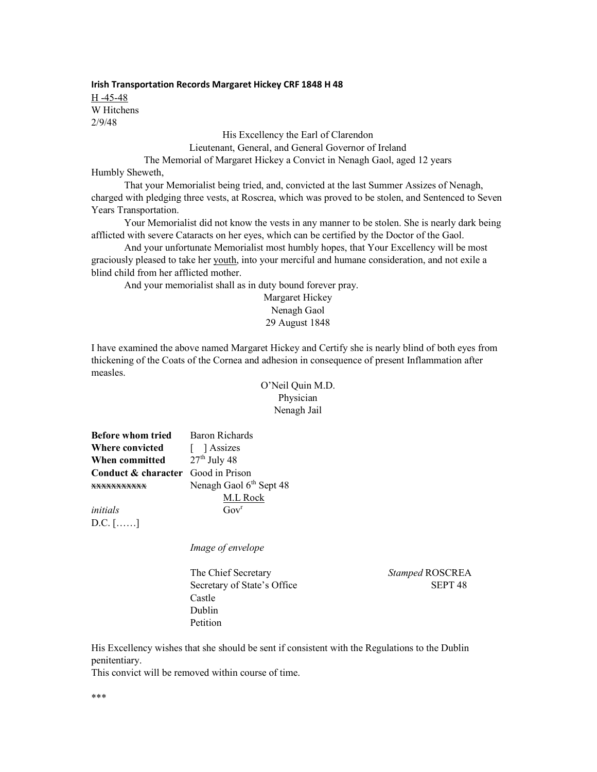Irish Transportation Records Margaret Hickey CRF 1848 H 48 H -45-48 W Hitchens 2/9/48

His Excellency the Earl of Clarendon

Lieutenant, General, and General Governor of Ireland

The Memorial of Margaret Hickey a Convict in Nenagh Gaol, aged 12 years

Humbly Sheweth,

 That your Memorialist being tried, and, convicted at the last Summer Assizes of Nenagh, charged with pledging three vests, at Roscrea, which was proved to be stolen, and Sentenced to Seven Years Transportation.

 Your Memorialist did not know the vests in any manner to be stolen. She is nearly dark being afflicted with severe Cataracts on her eyes, which can be certified by the Doctor of the Gaol.

 And your unfortunate Memorialist most humbly hopes, that Your Excellency will be most graciously pleased to take her youth, into your merciful and humane consideration, and not exile a blind child from her afflicted mother.

And your memorialist shall as in duty bound forever pray.

Margaret Hickey Nenagh Gaol 29 August 1848

I have examined the above named Margaret Hickey and Certify she is nearly blind of both eyes from thickening of the Coats of the Cornea and adhesion in consequence of present Inflammation after measles.

> O'Neil Quin M.D. Physician Nenagh Jail

| <b>Before whom tried</b>           | Baron Richards                      |
|------------------------------------|-------------------------------------|
| <b>Where convicted</b>             | [ ] Assizes                         |
| When committed                     | $27th$ July 48                      |
| Conduct & character Good in Prison |                                     |
|                                    | Nenagh Gaol 6 <sup>th</sup> Sept 48 |
|                                    | M.L Rock                            |
| initials                           | Gov <sup>r</sup>                    |

D.C. [……]

Image of envelope

The Chief Secretary Stamped ROSCREA Secretary of State's Office SEPT 48 Castle Dublin Petition

His Excellency wishes that she should be sent if consistent with the Regulations to the Dublin penitentiary.

This convict will be removed within course of time.

\*\*\*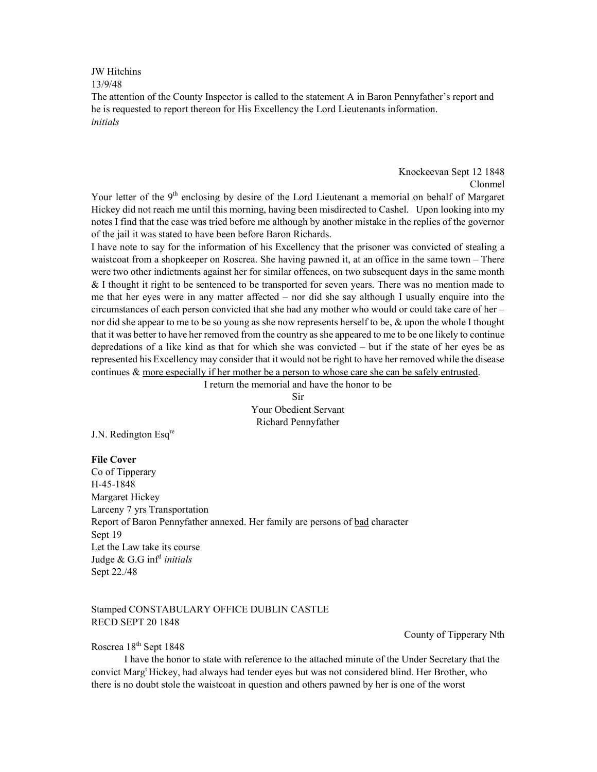JW Hitchins 13/9/48

The attention of the County Inspector is called to the statement A in Baron Pennyfather's report and he is requested to report thereon for His Excellency the Lord Lieutenants information. initials

> Knockeevan Sept 12 1848 Clonmel

Your letter of the 9<sup>th</sup> enclosing by desire of the Lord Lieutenant a memorial on behalf of Margaret Hickey did not reach me until this morning, having been misdirected to Cashel. Upon looking into my notes I find that the case was tried before me although by another mistake in the replies of the governor of the jail it was stated to have been before Baron Richards.

I have note to say for the information of his Excellency that the prisoner was convicted of stealing a waistcoat from a shopkeeper on Roscrea. She having pawned it, at an office in the same town – There were two other indictments against her for similar offences, on two subsequent days in the same month & I thought it right to be sentenced to be transported for seven years. There was no mention made to me that her eyes were in any matter affected – nor did she say although I usually enquire into the circumstances of each person convicted that she had any mother who would or could take care of her – nor did she appear to me to be so young as she now represents herself to be, & upon the whole I thought that it was better to have her removed from the country as she appeared to me to be one likely to continue depredations of a like kind as that for which she was convicted – but if the state of her eyes be as represented his Excellency may consider that it would not be right to have her removed while the disease continues & more especially if her mother be a person to whose care she can be safely entrusted.

I return the memorial and have the honor to be

Sir Your Obedient Servant Richard Pennyfather

J.N. Redington Esq<sup>re</sup>

## File Cover

Co of Tipperary H-45-1848 Margaret Hickey Larceny 7 yrs Transportation Report of Baron Pennyfather annexed. Her family are persons of bad character Sept 19 Let the Law take its course Judge & G.G inf<sup>d</sup> initials Sept 22./48

## Stamped CONSTABULARY OFFICE DUBLIN CASTLE RECD SEPT 20 1848

## County of Tipperary Nth

Roscrea 18<sup>th</sup> Sept 1848

 I have the honor to state with reference to the attached minute of the Under Secretary that the convict Marg<sup>t</sup> Hickey, had always had tender eyes but was not considered blind. Her Brother, who there is no doubt stole the waistcoat in question and others pawned by her is one of the worst